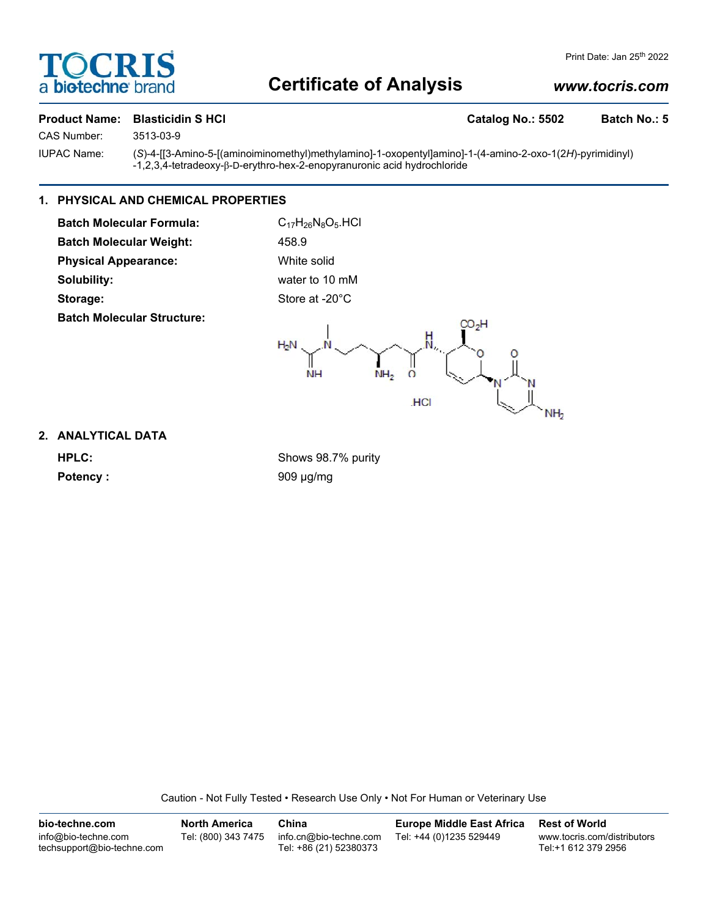# **TOCRIS** a biotechne brand

# **Certificate of Analysis**

# *www.tocris.com*

## Product Name: Blasticidin S HCl **Catalog No.: 5502** Batch No.: 5

CAS Number: 3513-03-9

IUPAC Name: (*S*)-4-[[3-Amino-5-[(aminoiminomethyl)methylamino]-1-oxopentyl]amino]-1-(4-amino-2-oxo-1(2*H*)-pyrimidinyl) -1,2,3,4-tetradeoxy-β-D-erythro-hex-2-enopyranuronic acid hydrochloride

# **1. PHYSICAL AND CHEMICAL PROPERTIES**

| <b>Batch Molecular Formula:</b>   | $C_{17}H_{26}N_8O_5$ .HCl                                                                                      |
|-----------------------------------|----------------------------------------------------------------------------------------------------------------|
| <b>Batch Molecular Weight:</b>    | 458.9                                                                                                          |
| <b>Physical Appearance:</b>       | White solid                                                                                                    |
| Solubility:                       | water to 10 mM                                                                                                 |
| Storage:                          | Store at -20°C                                                                                                 |
| <b>Batch Molecular Structure:</b> | CO <sub>2</sub> H<br>$H_2N$<br>$\overline{O}$<br>NH <sub>2</sub><br><b>NH</b><br><b>HCI</b><br>NH <sub>2</sub> |

## **2. ANALYTICAL DATA**

**HPLC:** Shows 98.7% purity Potency : 909 µg/mg

Caution - Not Fully Tested • Research Use Only • Not For Human or Veterinary Use

| bio-techne.com                                    | <b>North America</b> | China                                            | <b>Europe Middle East Africa</b> | <b>Rest of World</b>                               |
|---------------------------------------------------|----------------------|--------------------------------------------------|----------------------------------|----------------------------------------------------|
| info@bio-techne.com<br>techsupport@bio-techne.com | Tel: (800) 343 7475  | info.cn@bio-techne.com<br>Tel: +86 (21) 52380373 | Tel: +44 (0)1235 529449          | www.tocris.com/distributors<br>Tel:+1 612 379 2956 |